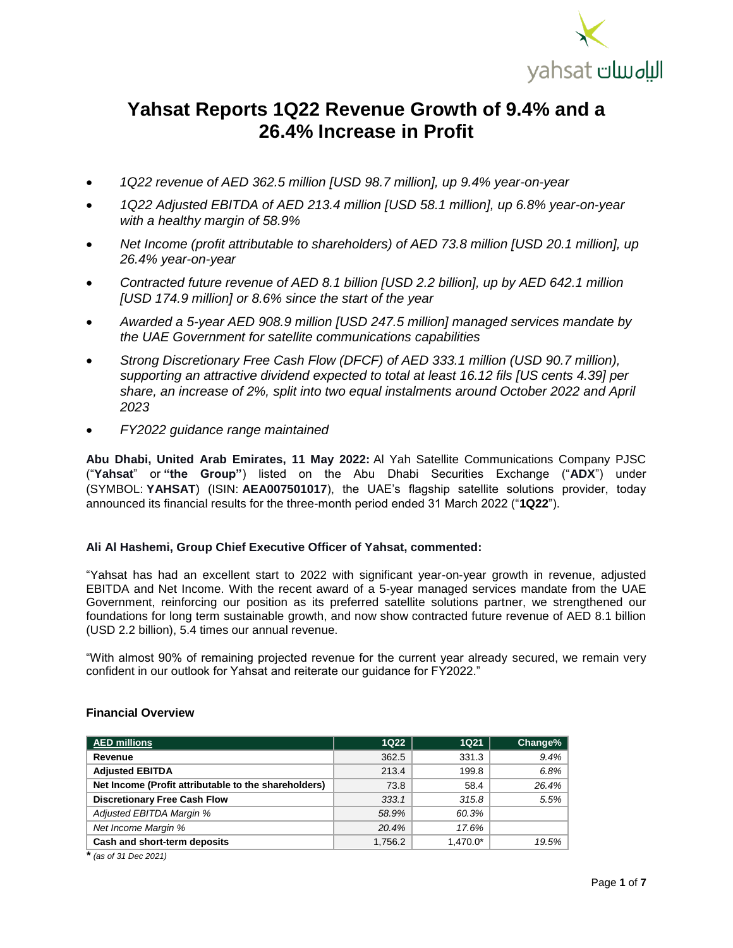

# **Yahsat Reports 1Q22 Revenue Growth of 9.4% and a 26.4% Increase in Profit**

- *1Q22 revenue of AED 362.5 million [USD 98.7 million], up 9.4% year-on-year*
- *1Q22 Adjusted EBITDA of AED 213.4 million [USD 58.1 million], up 6.8% year-on-year with a healthy margin of 58.9%*
- *Net Income (profit attributable to shareholders) of AED 73.8 million [USD 20.1 million], up 26.4% year-on-year*
- *Contracted future revenue of AED 8.1 billion [USD 2.2 billion], up by AED 642.1 million [USD 174.9 million] or 8.6% since the start of the year*
- *Awarded a 5-year AED 908.9 million [USD 247.5 million] managed services mandate by the UAE Government for satellite communications capabilities*
- *Strong Discretionary Free Cash Flow (DFCF) of AED 333.1 million (USD 90.7 million), supporting an attractive dividend expected to total at least 16.12 fils [US cents 4.39] per share, an increase of 2%, split into two equal instalments around October 2022 and April 2023*
- *FY2022 guidance range maintained*

**Abu Dhabi, United Arab Emirates, 11 May 2022:** Al Yah Satellite Communications Company PJSC ("**Yahsat**" or **"the Group"**) listed on the Abu Dhabi Securities Exchange ("**ADX**") under (SYMBOL: **YAHSAT**) (ISIN: **AEA007501017**), the UAE's flagship satellite solutions provider, today announced its financial results for the three-month period ended 31 March 2022 ("**1Q22**").

#### **Ali Al Hashemi, Group Chief Executive Officer of Yahsat, commented:**

"Yahsat has had an excellent start to 2022 with significant year-on-year growth in revenue, adjusted EBITDA and Net Income. With the recent award of a 5-year managed services mandate from the UAE Government, reinforcing our position as its preferred satellite solutions partner, we strengthened our foundations for long term sustainable growth, and now show contracted future revenue of AED 8.1 billion (USD 2.2 billion), 5.4 times our annual revenue.

"With almost 90% of remaining projected revenue for the current year already secured, we remain very confident in our outlook for Yahsat and reiterate our guidance for FY2022."

#### **Financial Overview**

| <b>AED millions</b>                                  | <b>1Q22</b> | 1Q <sub>21</sub> | Change% |
|------------------------------------------------------|-------------|------------------|---------|
| Revenue                                              | 362.5       | 331.3            | 9.4%    |
| <b>Adjusted EBITDA</b>                               | 213.4       | 199.8            | 6.8%    |
| Net Income (Profit attributable to the shareholders) | 73.8        | 58.4             | 26.4%   |
| <b>Discretionary Free Cash Flow</b>                  | 333.1       | 315.8            | 5.5%    |
| Adjusted EBITDA Margin %                             | 58.9%       | 60.3%            |         |
| Net Income Margin %                                  | 20.4%       | 17.6%            |         |
| Cash and short-term deposits                         | 1,756.2     | $1,470.0*$       | 19.5%   |

*\* (as of 31 Dec 2021)*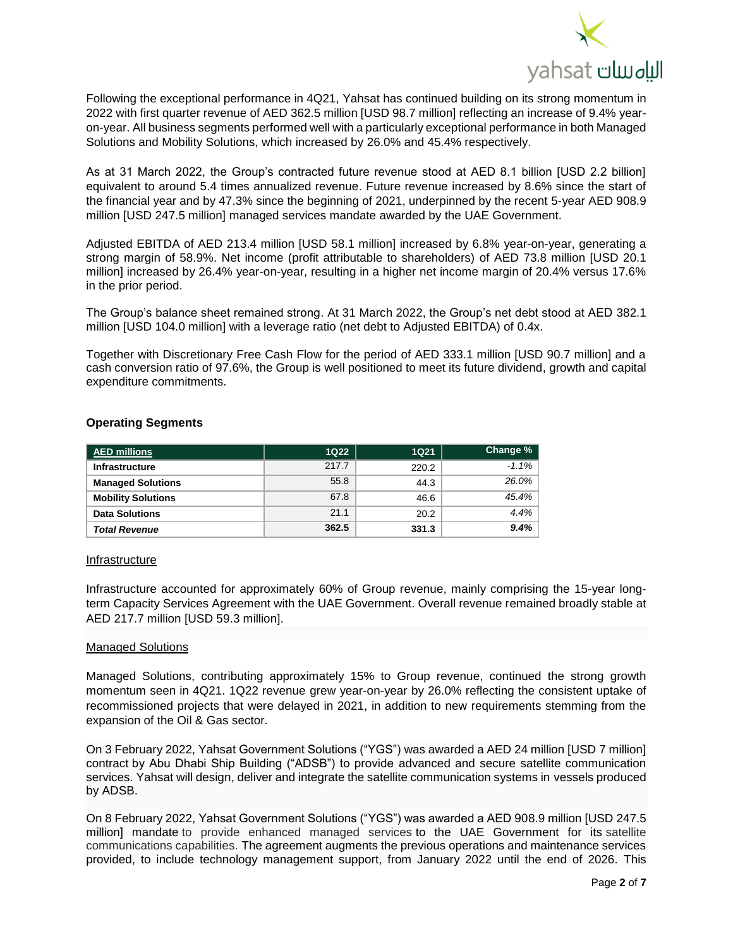

Following the exceptional performance in 4Q21, Yahsat has continued building on its strong momentum in 2022 with first quarter revenue of AED 362.5 million [USD 98.7 million] reflecting an increase of 9.4% yearon-year. All business segments performed well with a particularly exceptional performance in both Managed Solutions and Mobility Solutions, which increased by 26.0% and 45.4% respectively.

As at 31 March 2022, the Group's contracted future revenue stood at AED 8.1 billion [USD 2.2 billion] equivalent to around 5.4 times annualized revenue. Future revenue increased by 8.6% since the start of the financial year and by 47.3% since the beginning of 2021, underpinned by the recent 5-year AED 908.9 million [USD 247.5 million] managed services mandate awarded by the UAE Government.

Adjusted EBITDA of AED 213.4 million [USD 58.1 million] increased by 6.8% year-on-year, generating a strong margin of 58.9%. Net income (profit attributable to shareholders) of AED 73.8 million [USD 20.1 million] increased by 26.4% year-on-year, resulting in a higher net income margin of 20.4% versus 17.6% in the prior period.

The Group's balance sheet remained strong. At 31 March 2022, the Group's net debt stood at AED 382.1 million [USD 104.0 million] with a leverage ratio (net debt to Adjusted EBITDA) of 0.4x.

Together with Discretionary Free Cash Flow for the period of AED 333.1 million [USD 90.7 million] and a cash conversion ratio of 97.6%, the Group is well positioned to meet its future dividend, growth and capital expenditure commitments.

| <b>AED millions</b>       | <b>1Q22</b> | <b>1Q21</b> | Change % |
|---------------------------|-------------|-------------|----------|
| <b>Infrastructure</b>     | 217.7       | 220.2       | $-1.1%$  |
| <b>Managed Solutions</b>  | 55.8        | 44.3        | 26.0%    |
| <b>Mobility Solutions</b> | 67.8        | 46.6        | 45.4%    |
| <b>Data Solutions</b>     | 21.1        | 20.2        | 4.4%     |
| <b>Total Revenue</b>      | 362.5       | 331.3       | 9.4%     |

### **Operating Segments**

#### **Infrastructure**

Infrastructure accounted for approximately 60% of Group revenue, mainly comprising the 15-year longterm Capacity Services Agreement with the UAE Government. Overall revenue remained broadly stable at AED 217.7 million [USD 59.3 million].

#### Managed Solutions

Managed Solutions, contributing approximately 15% to Group revenue, continued the strong growth momentum seen in 4Q21. 1Q22 revenue grew year-on-year by 26.0% reflecting the consistent uptake of recommissioned projects that were delayed in 2021, in addition to new requirements stemming from the expansion of the Oil & Gas sector.

On 3 February 2022, Yahsat Government Solutions ("YGS") was awarded a AED 24 million [USD 7 million] contract by Abu Dhabi Ship Building ("ADSB") to provide advanced and secure satellite communication services. Yahsat will design, deliver and integrate the satellite communication systems in vessels produced by ADSB.

On 8 February 2022, Yahsat Government Solutions ("YGS") was awarded a AED 908.9 million [USD 247.5 million] mandate to provide enhanced managed services to the UAE Government for its satellite communications capabilities. The agreement augments the previous operations and maintenance services provided, to include technology management support, from January 2022 until the end of 2026. This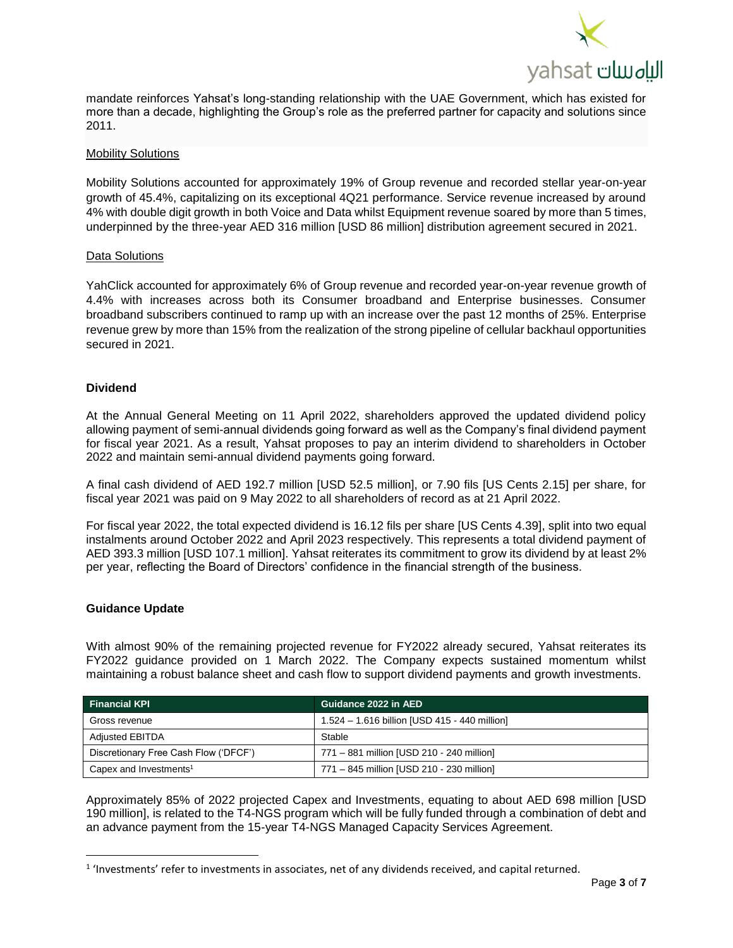

mandate reinforces Yahsat's long-standing relationship with the UAE Government, which has existed for more than a decade, highlighting the Group's role as the preferred partner for capacity and solutions since 2011.

#### Mobility Solutions

Mobility Solutions accounted for approximately 19% of Group revenue and recorded stellar year-on-year growth of 45.4%, capitalizing on its exceptional 4Q21 performance. Service revenue increased by around 4% with double digit growth in both Voice and Data whilst Equipment revenue soared by more than 5 times, underpinned by the three-year AED 316 million [USD 86 million] distribution agreement secured in 2021.

#### Data Solutions

YahClick accounted for approximately 6% of Group revenue and recorded year-on-year revenue growth of 4.4% with increases across both its Consumer broadband and Enterprise businesses. Consumer broadband subscribers continued to ramp up with an increase over the past 12 months of 25%. Enterprise revenue grew by more than 15% from the realization of the strong pipeline of cellular backhaul opportunities secured in 2021.

#### **Dividend**

At the Annual General Meeting on 11 April 2022, shareholders approved the updated dividend policy allowing payment of semi-annual dividends going forward as well as the Company's final dividend payment for fiscal year 2021. As a result, Yahsat proposes to pay an interim dividend to shareholders in October 2022 and maintain semi-annual dividend payments going forward.

A final cash dividend of AED 192.7 million [USD 52.5 million], or 7.90 fils [US Cents 2.15] per share, for fiscal year 2021 was paid on 9 May 2022 to all shareholders of record as at 21 April 2022.

For fiscal year 2022, the total expected dividend is 16.12 fils per share [US Cents 4.39], split into two equal instalments around October 2022 and April 2023 respectively. This represents a total dividend payment of AED 393.3 million [USD 107.1 million]. Yahsat reiterates its commitment to grow its dividend by at least 2% per year, reflecting the Board of Directors' confidence in the financial strength of the business.

#### **Guidance Update**

l

With almost 90% of the remaining projected revenue for FY2022 already secured, Yahsat reiterates its FY2022 guidance provided on 1 March 2022. The Company expects sustained momentum whilst maintaining a robust balance sheet and cash flow to support dividend payments and growth investments.

| <b>Financial KPI</b>                  | Guidance 2022 in AED '                        |
|---------------------------------------|-----------------------------------------------|
| Gross revenue                         | 1.524 - 1.616 billion [USD 415 - 440 million] |
| <b>Adjusted EBITDA</b>                | Stable                                        |
| Discretionary Free Cash Flow ('DFCF') | 771 - 881 million [USD 210 - 240 million]     |
| Capex and Investments <sup>1</sup>    | 771 - 845 million [USD 210 - 230 million]     |

Approximately 85% of 2022 projected Capex and Investments, equating to about AED 698 million [USD 190 million], is related to the T4-NGS program which will be fully funded through a combination of debt and an advance payment from the 15-year T4-NGS Managed Capacity Services Agreement.

 $1$  'Investments' refer to investments in associates, net of any dividends received, and capital returned.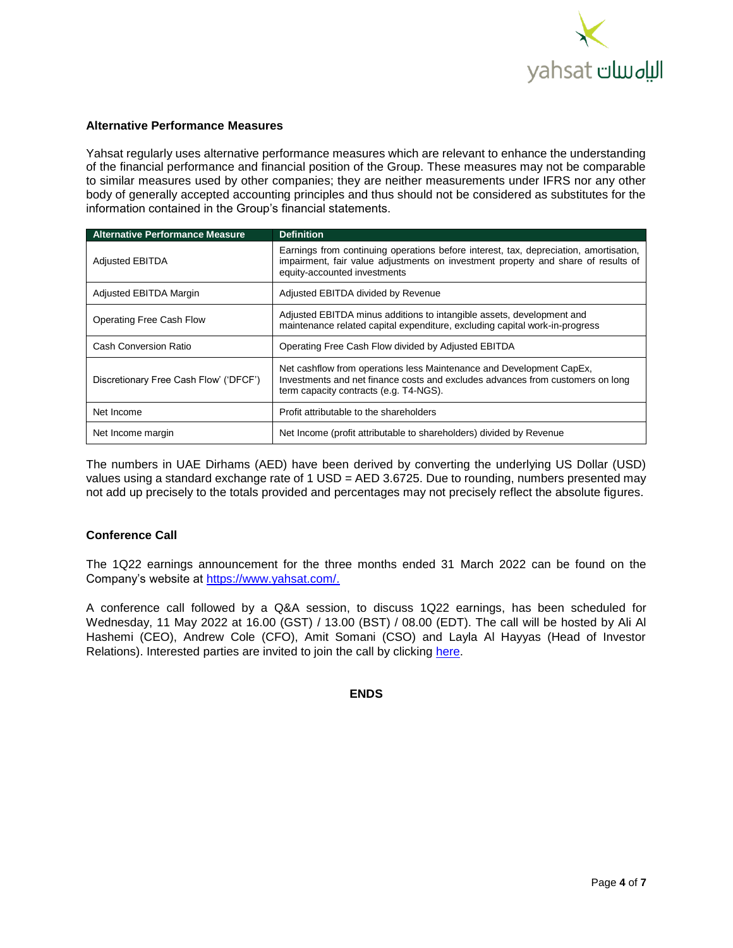

#### **Alternative Performance Measures**

Yahsat regularly uses alternative performance measures which are relevant to enhance the understanding of the financial performance and financial position of the Group. These measures may not be comparable to similar measures used by other companies; they are neither measurements under IFRS nor any other body of generally accepted accounting principles and thus should not be considered as substitutes for the information contained in the Group's financial statements.

| <b>Alternative Performance Measure</b> | <b>Definition</b>                                                                                                                                                                                          |
|----------------------------------------|------------------------------------------------------------------------------------------------------------------------------------------------------------------------------------------------------------|
| <b>Adjusted EBITDA</b>                 | Earnings from continuing operations before interest, tax, depreciation, amortisation,<br>impairment, fair value adjustments on investment property and share of results of<br>equity-accounted investments |
| Adjusted EBITDA Margin                 | Adjusted EBITDA divided by Revenue                                                                                                                                                                         |
| Operating Free Cash Flow               | Adjusted EBITDA minus additions to intangible assets, development and<br>maintenance related capital expenditure, excluding capital work-in-progress                                                       |
| Cash Conversion Ratio                  | Operating Free Cash Flow divided by Adjusted EBITDA                                                                                                                                                        |
| Discretionary Free Cash Flow' ('DFCF') | Net cashflow from operations less Maintenance and Development CapEx,<br>Investments and net finance costs and excludes advances from customers on long<br>term capacity contracts (e.g. T4-NGS).           |
| Net Income                             | Profit attributable to the shareholders                                                                                                                                                                    |
| Net Income margin                      | Net Income (profit attributable to shareholders) divided by Revenue                                                                                                                                        |

The numbers in UAE Dirhams (AED) have been derived by converting the underlying US Dollar (USD) values using a standard exchange rate of 1 USD = AED 3.6725. Due to rounding, numbers presented may not add up precisely to the totals provided and percentages may not precisely reflect the absolute figures.

#### **Conference Call**

The 1Q22 earnings announcement for the three months ended 31 March 2022 can be found on the Company's website at [https://www.yahsat.com/.](https://www.yahsat.com/)

A conference call followed by a Q&A session, to discuss 1Q22 earnings, has been scheduled for Wednesday, 11 May 2022 at 16.00 (GST) / 13.00 (BST) / 08.00 (EDT). The call will be hosted by Ali Al Hashemi (CEO), Andrew Cole (CFO), Amit Somani (CSO) and Layla Al Hayyas (Head of Investor Relations). Interested parties are invited to join the call by clicking [here.](https://urldefense.com/v3/__https:/zoom.us/j/97815704242?pwd=RjdiOWRic2ZBRXlWWDdzcXE0dldJQT09__;!!I2XIyG2ANlwasLbx!CMbe-A3BzDBvWpEmLV85qulSXZ2GTMxnsoUXDHjWKsSyYjzIZmyW-_w1LtKcyw7lkw$)

### **ENDS**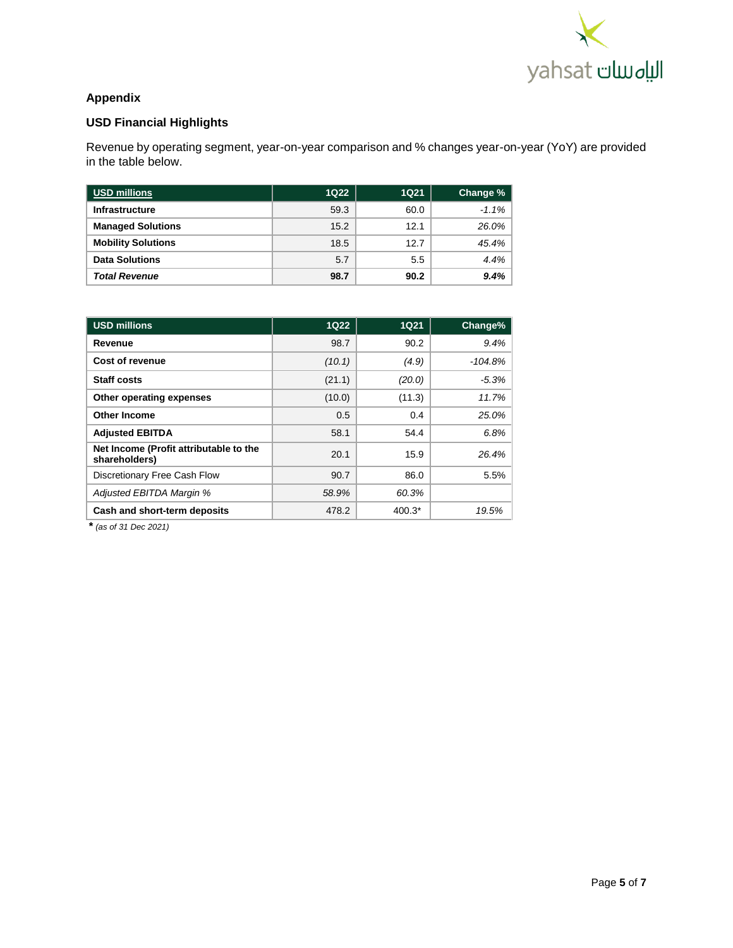

# **Appendix**

# **USD Financial Highlights**

Revenue by operating segment, year-on-year comparison and % changes year-on-year (YoY) are provided in the table below.

| <b>USD millions</b>       | <b>1Q22</b> | <b>1Q21</b> | Change % |
|---------------------------|-------------|-------------|----------|
| <b>Infrastructure</b>     | 59.3        | 60.0        | $-1.1%$  |
| <b>Managed Solutions</b>  | 15.2        | 12.1        | 26.0%    |
| <b>Mobility Solutions</b> | 18.5        | 12.7        | 45.4%    |
| <b>Data Solutions</b>     | 5.7         | 5.5         | 4.4%     |
| <b>Total Revenue</b>      | 98.7        | 90.2        | 9.4%     |

| <b>USD millions</b>                                     | <b>1Q22</b> | <b>1Q21</b> | Change%   |
|---------------------------------------------------------|-------------|-------------|-----------|
| Revenue                                                 | 98.7        | 90.2        | 9.4%      |
| Cost of revenue                                         | (10.1)      | (4.9)       | $-104.8%$ |
| Staff costs                                             | (21.1)      | (20.0)      | $-5.3%$   |
| Other operating expenses                                | (10.0)      | (11.3)      | 11.7%     |
| <b>Other Income</b>                                     | 0.5         | 0.4         | 25.0%     |
| <b>Adjusted EBITDA</b>                                  | 58.1        | 54.4        | 6.8%      |
| Net Income (Profit attributable to the<br>shareholders) | 20.1        | 15.9        | 26.4%     |
| Discretionary Free Cash Flow                            | 90.7        | 86.0        | 5.5%      |
| Adjusted EBITDA Margin %                                | 58.9%       | 60.3%       |           |
| Cash and short-term deposits                            | 478.2       | $400.3*$    | 19.5%     |

*\* (as of 31 Dec 2021)*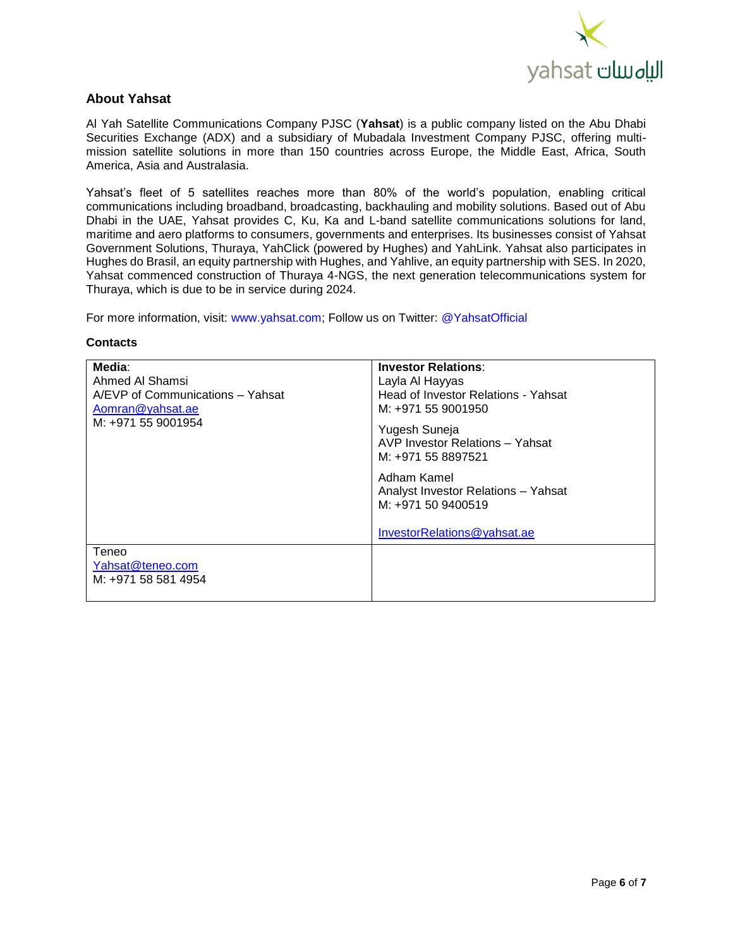

## **About Yahsat**

Al Yah Satellite Communications Company PJSC (**Yahsat**) is a public company listed on the Abu Dhabi Securities Exchange (ADX) and a subsidiary of Mubadala Investment Company PJSC, offering multimission satellite solutions in more than 150 countries across Europe, the Middle East, Africa, South America, Asia and Australasia.

Yahsat's fleet of 5 satellites reaches more than 80% of the world's population, enabling critical communications including broadband, broadcasting, backhauling and mobility solutions. Based out of Abu Dhabi in the UAE, Yahsat provides C, Ku, Ka and L-band satellite communications solutions for land, maritime and aero platforms to consumers, governments and enterprises. Its businesses consist of Yahsat Government Solutions, Thuraya, YahClick (powered by Hughes) and YahLink. Yahsat also participates in Hughes do Brasil, an equity partnership with Hughes, and Yahlive, an equity partnership with SES. In 2020, Yahsat commenced construction of Thuraya 4-NGS, the next generation telecommunications system for Thuraya, which is due to be in service during 2024.

For more information, visit: www.yahsat.com; Follow us on Twitter: @YahsatOfficial

#### **Contacts**

| Media:<br>Ahmed Al Shamsi<br>A/EVP of Communications – Yahsat<br>Aomran@yahsat.ae<br>M: +971 55 9001954 | <b>Investor Relations:</b><br>Layla Al Hayyas<br>Head of Investor Relations - Yahsat<br>M: +971 55 9001950<br>Yugesh Suneja<br>AVP Investor Relations - Yahsat<br>M: +971 55 8897521<br>Adham Kamel<br>Analyst Investor Relations - Yahsat<br>M: +971 50 9400519<br>InvestorRelations@yahsat.ae |
|---------------------------------------------------------------------------------------------------------|-------------------------------------------------------------------------------------------------------------------------------------------------------------------------------------------------------------------------------------------------------------------------------------------------|
| Teneo<br>Yahsat@teneo.com<br>M: +971 58 581 4954                                                        |                                                                                                                                                                                                                                                                                                 |